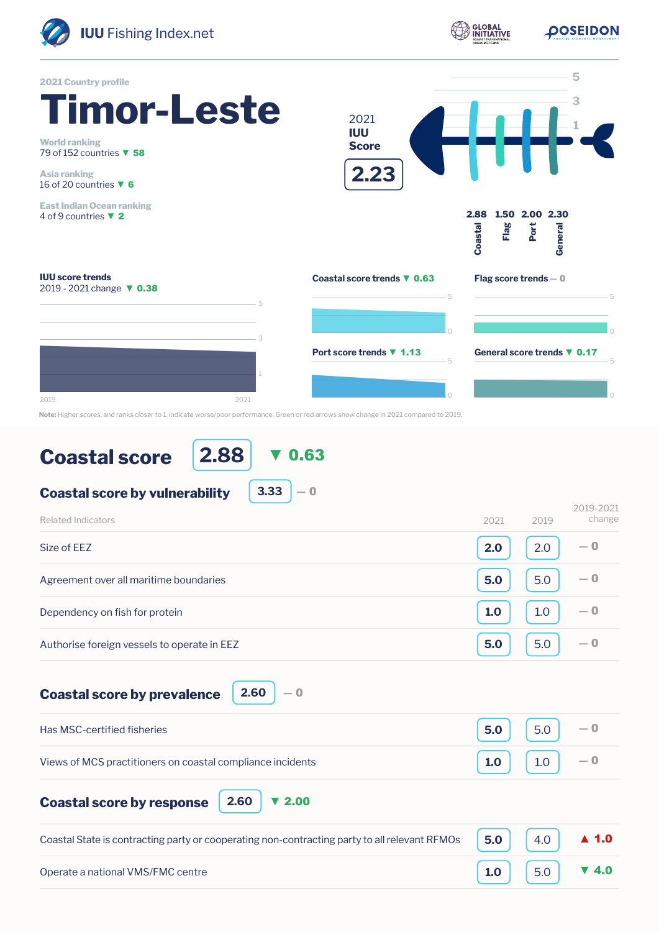

**POSEIDON** 



## **Coastal score**

**2.88** ▼ 0.63

**3.33**

 $-0$ 

## **Coastal score by vulnerability**

| Related Indicators                          | 2021 | 2019 | 2019-2021<br>change |
|---------------------------------------------|------|------|---------------------|
| Size of EEZ                                 | 2.0  | 2.0  | $-0$                |
| Agreement over all maritime boundaries      | 5.0  | 5.0  | $-0$                |
| Dependency on fish for protein              | 1.0  | 1.0  | $-0$                |
| Authorise foreign vessels to operate in EEZ | 5.0  | 5.0  | $-0$                |

**Coastal score by prevalence**

**2.60** ― 0

| Has MSC-certified fisheries                                | 5.0 | 5.0               |  |
|------------------------------------------------------------|-----|-------------------|--|
| Views of MCS practitioners on coastal compliance incidents | 1.0 | $\vert 1.0 \vert$ |  |

**Coastal score by response**

**2.60** ▼ 2.00

| Coastal State is contracting party or cooperating non-contracting party to all relevant RFMOs $\Big  5.0 \Big  4.0 \Big  4.0 \Big  4.0$ |                                                            |  |
|-----------------------------------------------------------------------------------------------------------------------------------------|------------------------------------------------------------|--|
| Operate a national VMS/FMC centre                                                                                                       | $\begin{bmatrix} 1.0 \end{bmatrix}$ 5.0 $\overline{v}$ 4.0 |  |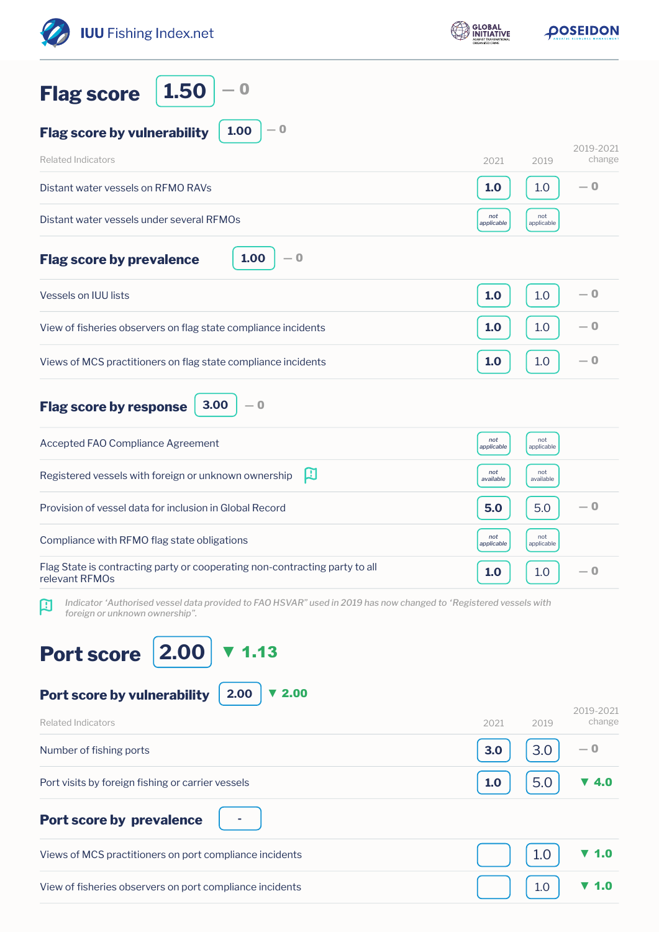| <b>IUU</b> Fishing Index.net                                                                                                                             | <b>GLOBAL</b><br>INITIATIVE | <b>POSEIDON</b>              |
|----------------------------------------------------------------------------------------------------------------------------------------------------------|-----------------------------|------------------------------|
| 1.50<br>$\bf{0}$<br><b>Flag score</b>                                                                                                                    |                             |                              |
| $-0$<br>1.00<br><b>Flag score by vulnerability</b>                                                                                                       |                             |                              |
| <b>Related Indicators</b>                                                                                                                                | 2021                        | 2019-2021<br>change<br>2019  |
| Distant water vessels on RFMO RAVs                                                                                                                       | 1.0                         | $-0$<br>1.0                  |
| Distant water vessels under several RFMOs                                                                                                                | not<br>applicable           | not<br>applicable            |
| 1.00<br>— 0<br><b>Flag score by prevalence</b>                                                                                                           |                             |                              |
| Vessels on IUU lists                                                                                                                                     | 1.0                         | — 0<br>1.0                   |
| View of fisheries observers on flag state compliance incidents                                                                                           | 1.0                         | $-0$<br>1.0                  |
| Views of MCS practitioners on flag state compliance incidents                                                                                            | 1.0                         | — 0<br>1.0                   |
| 3.00<br>$-0$<br><b>Flag score by response</b>                                                                                                            |                             |                              |
| Accepted FAO Compliance Agreement                                                                                                                        | not<br>applicable           | not<br>applicable            |
| 口<br>Registered vessels with foreign or unknown ownership                                                                                                | not<br>available            | not<br>available             |
| Provision of vessel data for inclusion in Global Record                                                                                                  | 5.0                         | — 0<br>5.0                   |
| Compliance with RFMO flag state obligations                                                                                                              | not<br>applicable           | not<br>applicable            |
| Flag State is contracting party or cooperating non-contracting party to all<br>relevant RFMOs                                                            | 1.0                         | $-0$<br>1.0                  |
| Indicator 'Authorised vessel data provided to FAO HSVAR" used in 2019 has now changed to 'Registered vessels with<br>口<br>foreign or unknown ownership". |                             |                              |
| 2.00<br><b>Port score</b>                                                                                                                                |                             |                              |
| 2.00<br>Port score by vulnerability<br>2.00                                                                                                              |                             | 2019-2021                    |
| <b>Related Indicators</b><br>Number of fishing ports                                                                                                     | 2021<br>3.0                 | change<br>2019<br>3.0<br>— 0 |
|                                                                                                                                                          |                             |                              |
| Port visits by foreign fishing or carrier vessels                                                                                                        | 1.0                         | 5.0<br>▼ 4.0                 |
| <b>Port score by prevalence</b>                                                                                                                          |                             |                              |
| Views of MCS practitioners on port compliance incidents                                                                                                  |                             | 1.0<br>1.0                   |
| View of fisheries observers on port compliance incidents                                                                                                 |                             | 1.0<br>1.0                   |